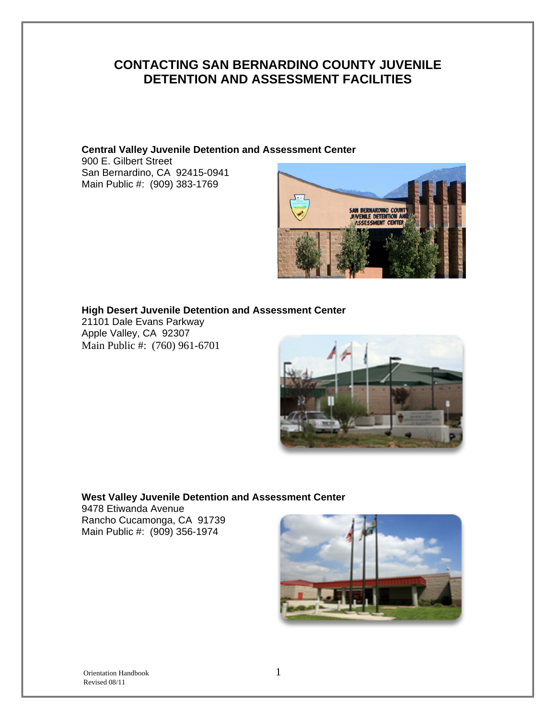## **CONTACTING SAN BERNARDINO COUNTY JUVENILE DETENTION AND ASSESSMENT FACILITIES**

**Central Valley Juvenile Detention and Assessment Center**  900 E. Gilbert Street

San Bernardino, CA 92415-0941 Main Public #: (909) 383-1769



**High Desert Juvenile Detention and Assessment Center** 

21101 Dale Evans Parkway Apple Valley, CA 92307 Main Public #: (760) 961-6701



#### **West Valley Juvenile Detention and Assessment Center**

9478 Etiwanda Avenue Rancho Cucamonga, CA 91739 Main Public #: (909) 356-1974

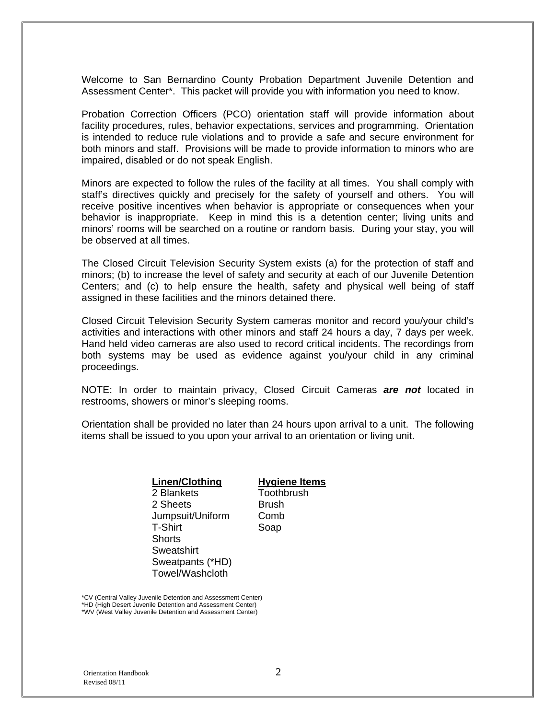Welcome to San Bernardino County Probation Department Juvenile Detention and Assessment Center\*. This packet will provide you with information you need to know.

Probation Correction Officers (PCO) orientation staff will provide information about facility procedures, rules, behavior expectations, services and programming. Orientation is intended to reduce rule violations and to provide a safe and secure environment for both minors and staff. Provisions will be made to provide information to minors who are impaired, disabled or do not speak English.

Minors are expected to follow the rules of the facility at all times. You shall comply with staff's directives quickly and precisely for the safety of yourself and others. You will receive positive incentives when behavior is appropriate or consequences when your behavior is inappropriate. Keep in mind this is a detention center; living units and minors' rooms will be searched on a routine or random basis. During your stay, you will be observed at all times.

The Closed Circuit Television Security System exists (a) for the protection of staff and minors; (b) to increase the level of safety and security at each of our Juvenile Detention Centers; and (c) to help ensure the health, safety and physical well being of staff assigned in these facilities and the minors detained there.

Closed Circuit Television Security System cameras monitor and record you/your child's activities and interactions with other minors and staff 24 hours a day, 7 days per week. Hand held video cameras are also used to record critical incidents. The recordings from both systems may be used as evidence against you/your child in any criminal proceedings.

NOTE: In order to maintain privacy, Closed Circuit Cameras *are not* located in restrooms, showers or minor's sleeping rooms.

Orientation shall be provided no later than 24 hours upon arrival to a unit. The following items shall be issued to you upon your arrival to an orientation or living unit.

#### **Linen/Clothing**

2 Blankets 2 Sheets Jumpsuit/Uniform T-Shirt **Shorts Sweatshirt** Sweatpants (\*HD) Towel/Washcloth

#### **Hygiene Items**

**Toothbrush Brush** Comb Soap

\*CV (Central Valley Juvenile Detention and Assessment Center) \*HD (High Desert Juvenile Detention and Assessment Center) \*WV (West Valley Juvenile Detention and Assessment Center)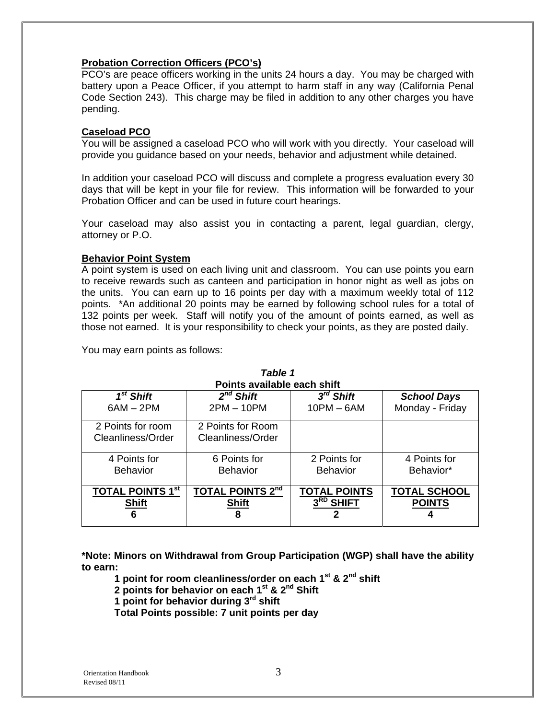#### **Probation Correction Officers (PCO's)**

PCO's are peace officers working in the units 24 hours a day. You may be charged with battery upon a Peace Officer, if you attempt to harm staff in any way (California Penal Code Section 243). This charge may be filed in addition to any other charges you have pending.

#### **Caseload PCO**

You will be assigned a caseload PCO who will work with you directly. Your caseload will provide you guidance based on your needs, behavior and adjustment while detained.

In addition your caseload PCO will discuss and complete a progress evaluation every 30 days that will be kept in your file for review. This information will be forwarded to your Probation Officer and can be used in future court hearings.

Your caseload may also assist you in contacting a parent, legal guardian, clergy, attorney or P.O.

#### **Behavior Point System**

A point system is used on each living unit and classroom. You can use points you earn to receive rewards such as canteen and participation in honor night as well as jobs on the units. You can earn up to 16 points per day with a maximum weekly total of 112 points. \*An additional 20 points may be earned by following school rules for a total of 132 points per week. Staff will notify you of the amount of points earned, as well as those not earned. It is your responsibility to check your points, as they are posted daily.

You may earn points as follows:

| Points available each shift |                         |                     |                     |  |  |  |
|-----------------------------|-------------------------|---------------------|---------------------|--|--|--|
| $1st$ Shift                 | $2^{nd}$ Shift          | $3^{rd}$ Shift      | <b>School Days</b>  |  |  |  |
| $6AM - 2PM$                 | $2PM - 10PM$            | $10PM - 6AM$        | Monday - Friday     |  |  |  |
| 2 Points for room           | 2 Points for Room       |                     |                     |  |  |  |
| Cleanliness/Order           | Cleanliness/Order       |                     |                     |  |  |  |
| 4 Points for                | 6 Points for            | 2 Points for        | 4 Points for        |  |  |  |
| <b>Behavior</b>             | <b>Behavior</b>         | <b>Behavior</b>     | Behavior*           |  |  |  |
| <b>TOTAL POINTS 1st</b>     | <b>TOTAL POINTS 2nd</b> | <b>TOTAL POINTS</b> | <b>TOTAL SCHOOL</b> |  |  |  |
| <b>Shift</b>                | <b>Shift</b>            | $3RD$ SHIFT         | <b>POINTS</b>       |  |  |  |
| 6                           | 8                       |                     |                     |  |  |  |

# *Table 1*

**\*Note: Minors on Withdrawal from Group Participation (WGP) shall have the ability to earn:** 

**1 point for room cleanliness/order on each 1st & 2nd shift** 

**2 points for behavior on each 1st & 2nd Shift** 

**1 point for behavior during 3rd shift** 

**Total Points possible: 7 unit points per day**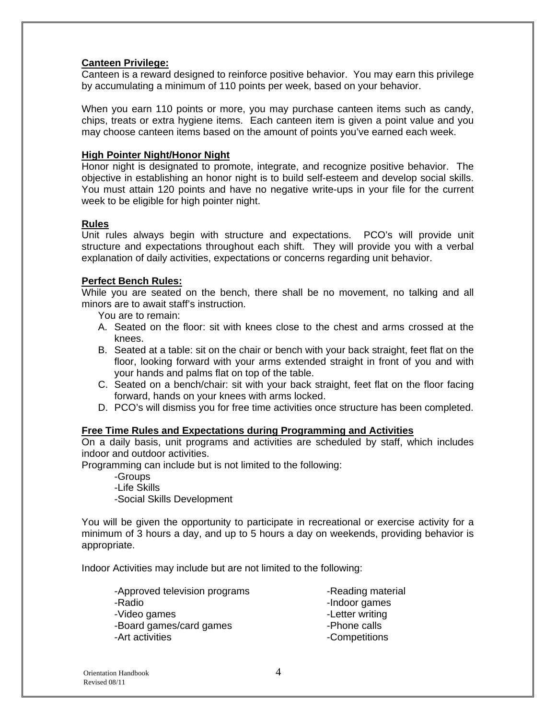#### **Canteen Privilege:**

Canteen is a reward designed to reinforce positive behavior. You may earn this privilege by accumulating a minimum of 110 points per week, based on your behavior.

When you earn 110 points or more, you may purchase canteen items such as candy, chips, treats or extra hygiene items. Each canteen item is given a point value and you may choose canteen items based on the amount of points you've earned each week.

#### **High Pointer Night/Honor Night**

Honor night is designated to promote, integrate, and recognize positive behavior. The objective in establishing an honor night is to build self-esteem and develop social skills. You must attain 120 points and have no negative write-ups in your file for the current week to be eligible for high pointer night.

#### **Rules**

Unit rules always begin with structure and expectations. PCO's will provide unit structure and expectations throughout each shift. They will provide you with a verbal explanation of daily activities, expectations or concerns regarding unit behavior.

#### **Perfect Bench Rules:**

While you are seated on the bench, there shall be no movement, no talking and all minors are to await staff's instruction.

You are to remain:

- A. Seated on the floor: sit with knees close to the chest and arms crossed at the knees.
- B. Seated at a table: sit on the chair or bench with your back straight, feet flat on the floor, looking forward with your arms extended straight in front of you and with your hands and palms flat on top of the table.
- C. Seated on a bench/chair: sit with your back straight, feet flat on the floor facing forward, hands on your knees with arms locked.
- D. PCO's will dismiss you for free time activities once structure has been completed.

#### **Free Time Rules and Expectations during Programming and Activities**

On a daily basis, unit programs and activities are scheduled by staff, which includes indoor and outdoor activities.

Programming can include but is not limited to the following:

 -Groups -Life Skills -Social Skills Development

You will be given the opportunity to participate in recreational or exercise activity for a minimum of 3 hours a day, and up to 5 hours a day on weekends, providing behavior is appropriate.

Indoor Activities may include but are not limited to the following:

| -Approved television programs | -Reading material |
|-------------------------------|-------------------|
| -Radio                        | -Indoor games     |
| -Video games                  | -Letter writing   |
| -Board games/card games       | -Phone calls      |
| -Art activities               | -Competitions     |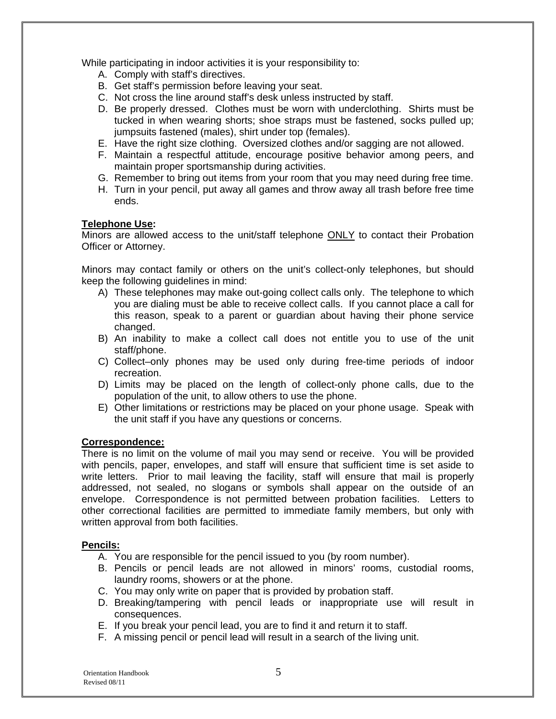While participating in indoor activities it is your responsibility to:

- A. Comply with staff's directives.
- B. Get staff's permission before leaving your seat.
- C. Not cross the line around staff's desk unless instructed by staff.
- D. Be properly dressed. Clothes must be worn with underclothing. Shirts must be tucked in when wearing shorts; shoe straps must be fastened, socks pulled up; jumpsuits fastened (males), shirt under top (females).
- E. Have the right size clothing. Oversized clothes and/or sagging are not allowed.
- F. Maintain a respectful attitude, encourage positive behavior among peers, and maintain proper sportsmanship during activities.
- G. Remember to bring out items from your room that you may need during free time.
- H. Turn in your pencil, put away all games and throw away all trash before free time ends.

#### **Telephone Use:**

Minors are allowed access to the unit/staff telephone ONLY to contact their Probation Officer or Attorney.

Minors may contact family or others on the unit's collect-only telephones, but should keep the following guidelines in mind:

- A) These telephones may make out-going collect calls only. The telephone to which you are dialing must be able to receive collect calls. If you cannot place a call for this reason, speak to a parent or guardian about having their phone service changed.
- B) An inability to make a collect call does not entitle you to use of the unit staff/phone.
- C) Collect–only phones may be used only during free-time periods of indoor recreation.
- D) Limits may be placed on the length of collect-only phone calls, due to the population of the unit, to allow others to use the phone.
- E) Other limitations or restrictions may be placed on your phone usage. Speak with the unit staff if you have any questions or concerns.

#### **Correspondence:**

There is no limit on the volume of mail you may send or receive. You will be provided with pencils, paper, envelopes, and staff will ensure that sufficient time is set aside to write letters. Prior to mail leaving the facility, staff will ensure that mail is properly addressed, not sealed, no slogans or symbols shall appear on the outside of an envelope. Correspondence is not permitted between probation facilities. Letters to other correctional facilities are permitted to immediate family members, but only with written approval from both facilities.

#### **Pencils:**

- A. You are responsible for the pencil issued to you (by room number).
- B. Pencils or pencil leads are not allowed in minors' rooms, custodial rooms, laundry rooms, showers or at the phone.
- C. You may only write on paper that is provided by probation staff.
- D. Breaking/tampering with pencil leads or inappropriate use will result in consequences.
- E. If you break your pencil lead, you are to find it and return it to staff.
- F. A missing pencil or pencil lead will result in a search of the living unit.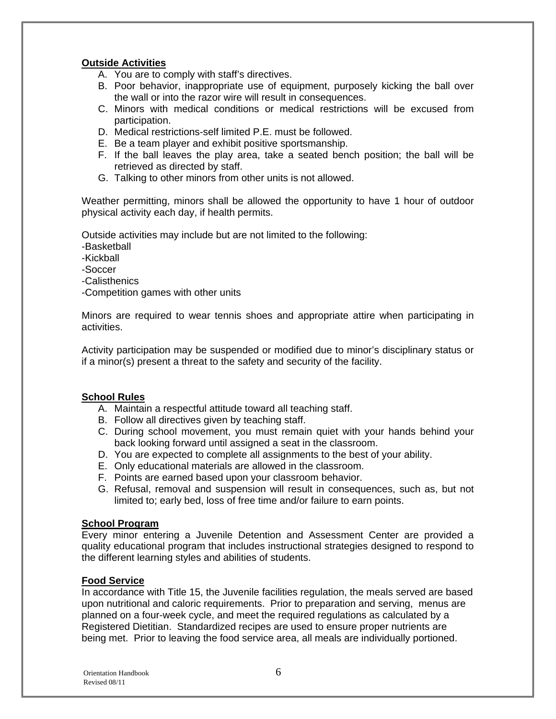#### **Outside Activities**

A. You are to comply with staff's directives.

- B. Poor behavior, inappropriate use of equipment, purposely kicking the ball over the wall or into the razor wire will result in consequences.
- C. Minors with medical conditions or medical restrictions will be excused from participation.
- D. Medical restrictions-self limited P.E. must be followed.
- E. Be a team player and exhibit positive sportsmanship.
- F. If the ball leaves the play area, take a seated bench position; the ball will be retrieved as directed by staff.
- G. Talking to other minors from other units is not allowed.

Weather permitting, minors shall be allowed the opportunity to have 1 hour of outdoor physical activity each day, if health permits.

Outside activities may include but are not limited to the following:

- -Basketball
- -Kickball
- -Soccer
- -Calisthenics
- -Competition games with other units

Minors are required to wear tennis shoes and appropriate attire when participating in activities.

Activity participation may be suspended or modified due to minor's disciplinary status or if a minor(s) present a threat to the safety and security of the facility.

#### **School Rules**

- A. Maintain a respectful attitude toward all teaching staff.
- B. Follow all directives given by teaching staff.
- C. During school movement, you must remain quiet with your hands behind your back looking forward until assigned a seat in the classroom.
- D. You are expected to complete all assignments to the best of your ability.
- E. Only educational materials are allowed in the classroom.
- F. Points are earned based upon your classroom behavior.
- G. Refusal, removal and suspension will result in consequences, such as, but not limited to; early bed, loss of free time and/or failure to earn points.

#### **School Program**

Every minor entering a Juvenile Detention and Assessment Center are provided a quality educational program that includes instructional strategies designed to respond to the different learning styles and abilities of students.

#### **Food Service**

In accordance with Title 15, the Juvenile facilities regulation, the meals served are based upon nutritional and caloric requirements. Prior to preparation and serving, menus are planned on a four-week cycle, and meet the required regulations as calculated by a Registered Dietitian. Standardized recipes are used to ensure proper nutrients are being met. Prior to leaving the food service area, all meals are individually portioned.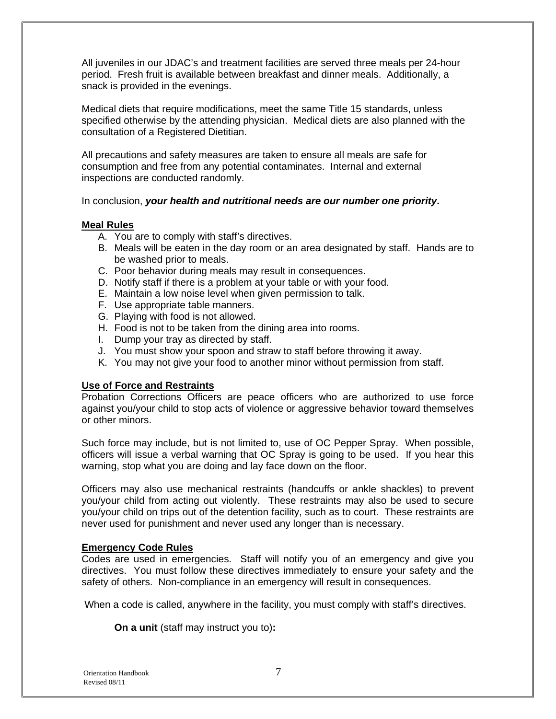All juveniles in our JDAC's and treatment facilities are served three meals per 24-hour period. Fresh fruit is available between breakfast and dinner meals. Additionally, a snack is provided in the evenings.

Medical diets that require modifications, meet the same Title 15 standards, unless specified otherwise by the attending physician. Medical diets are also planned with the consultation of a Registered Dietitian.

All precautions and safety measures are taken to ensure all meals are safe for consumption and free from any potential contaminates. Internal and external inspections are conducted randomly.

In conclusion, *your health and nutritional needs are our number one priority***.**

#### **Meal Rules**

- A. You are to comply with staff's directives.
- B. Meals will be eaten in the day room or an area designated by staff. Hands are to be washed prior to meals.
- C. Poor behavior during meals may result in consequences.
- D. Notify staff if there is a problem at your table or with your food.
- E. Maintain a low noise level when given permission to talk.
- F. Use appropriate table manners.
- G. Playing with food is not allowed.
- H. Food is not to be taken from the dining area into rooms.
- I. Dump your tray as directed by staff.
- J. You must show your spoon and straw to staff before throwing it away.
- K. You may not give your food to another minor without permission from staff.

#### **Use of Force and Restraints**

Probation Corrections Officers are peace officers who are authorized to use force against you/your child to stop acts of violence or aggressive behavior toward themselves or other minors.

Such force may include, but is not limited to, use of OC Pepper Spray. When possible, officers will issue a verbal warning that OC Spray is going to be used. If you hear this warning, stop what you are doing and lay face down on the floor.

Officers may also use mechanical restraints (handcuffs or ankle shackles) to prevent you/your child from acting out violently. These restraints may also be used to secure you/your child on trips out of the detention facility, such as to court. These restraints are never used for punishment and never used any longer than is necessary.

#### **Emergency Code Rules**

Codes are used in emergencies. Staff will notify you of an emergency and give you directives. You must follow these directives immediately to ensure your safety and the safety of others. Non-compliance in an emergency will result in consequences.

When a code is called, anywhere in the facility, you must comply with staff's directives.

**On a unit** (staff may instruct you to)**:**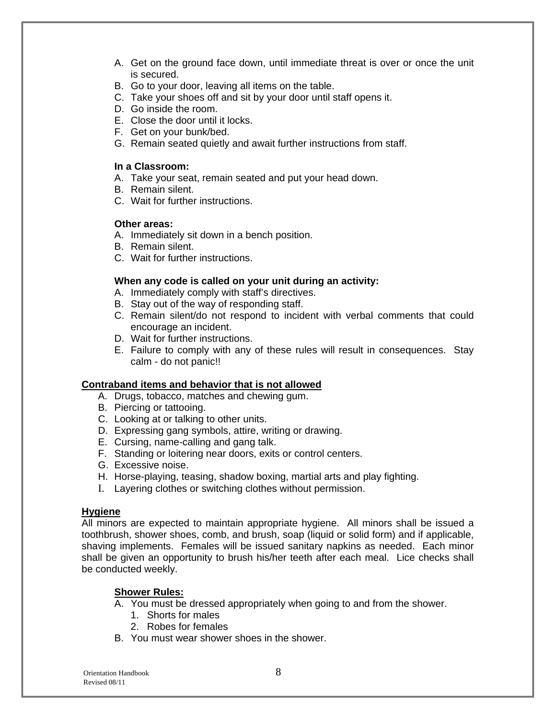- A. Get on the ground face down, until immediate threat is over or once the unit is secured.
- B. Go to your door, leaving all items on the table.
- C. Take your shoes off and sit by your door until staff opens it.
- D. Go inside the room.
- E. Close the door until it locks.
- F. Get on your bunk/bed.
- G. Remain seated quietly and await further instructions from staff.

#### **In a Classroom:**

- A. Take your seat, remain seated and put your head down.
- B. Remain silent.
- C. Wait for further instructions.

#### **Other areas:**

- A. Immediately sit down in a bench position.
- B. Remain silent.
- C. Wait for further instructions.

#### **When any code is called on your unit during an activity:**

- A. Immediately comply with staff's directives.
- B. Stay out of the way of responding staff.
- C. Remain silent/do not respond to incident with verbal comments that could encourage an incident.
- D. Wait for further instructions.
- E. Failure to comply with any of these rules will result in consequences. Stay calm - do not panic!!

#### **Contraband items and behavior that is not allowed**

- A. Drugs, tobacco, matches and chewing gum.
- B. Piercing or tattooing.
- C. Looking at or talking to other units.
- D. Expressing gang symbols, attire, writing or drawing.
- E. Cursing, name-calling and gang talk.
- F. Standing or loitering near doors, exits or control centers.
- G. Excessive noise.
- H. Horse-playing, teasing, shadow boxing, martial arts and play fighting.
- I. Layering clothes or switching clothes without permission.

#### **Hygiene**

All minors are expected to maintain appropriate hygiene. All minors shall be issued a toothbrush, shower shoes, comb, and brush, soap (liquid or solid form) and if applicable, shaving implements. Females will be issued sanitary napkins as needed. Each minor shall be given an opportunity to brush his/her teeth after each meal. Lice checks shall be conducted weekly.

#### **Shower Rules:**

- A. You must be dressed appropriately when going to and from the shower.
	- 1. Shorts for males
	- 2. Robes for females
- B. You must wear shower shoes in the shower.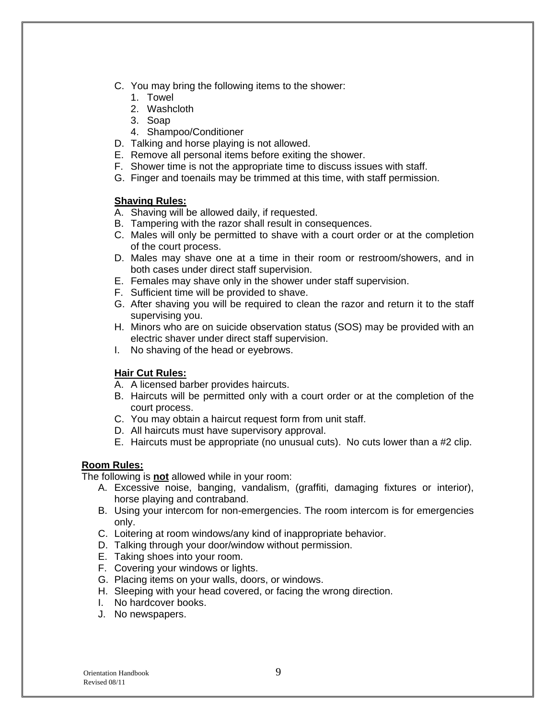- C. You may bring the following items to the shower:
	- 1. Towel
	- 2. Washcloth
	- 3. Soap
	- 4. Shampoo/Conditioner
- D. Talking and horse playing is not allowed.
- E. Remove all personal items before exiting the shower.
- F. Shower time is not the appropriate time to discuss issues with staff.
- G. Finger and toenails may be trimmed at this time, with staff permission.

#### **Shaving Rules:**

- A. Shaving will be allowed daily, if requested.
- B. Tampering with the razor shall result in consequences.
- C. Males will only be permitted to shave with a court order or at the completion of the court process.
- D. Males may shave one at a time in their room or restroom/showers, and in both cases under direct staff supervision.
- E. Females may shave only in the shower under staff supervision.
- F. Sufficient time will be provided to shave.
- G. After shaving you will be required to clean the razor and return it to the staff supervising you.
- H. Minors who are on suicide observation status (SOS) may be provided with an electric shaver under direct staff supervision.
- I. No shaving of the head or eyebrows.

#### **Hair Cut Rules:**

- A. A licensed barber provides haircuts.
- B. Haircuts will be permitted only with a court order or at the completion of the court process.
- C. You may obtain a haircut request form from unit staff.
- D. All haircuts must have supervisory approval.
- E. Haircuts must be appropriate (no unusual cuts). No cuts lower than a #2 clip.

#### **Room Rules:**

The following is **not** allowed while in your room:

- A. Excessive noise, banging, vandalism, (graffiti, damaging fixtures or interior), horse playing and contraband.
- B. Using your intercom for non-emergencies. The room intercom is for emergencies only.
- C. Loitering at room windows/any kind of inappropriate behavior.
- D. Talking through your door/window without permission.
- E. Taking shoes into your room.
- F. Covering your windows or lights.
- G. Placing items on your walls, doors, or windows.
- H. Sleeping with your head covered, or facing the wrong direction.
- I. No hardcover books.
- J. No newspapers.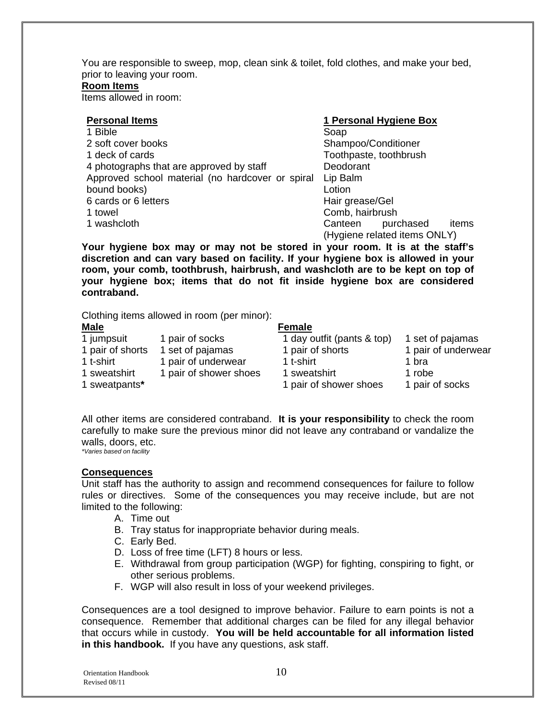You are responsible to sweep, mop, clean sink & toilet, fold clothes, and make your bed, prior to leaving your room.

#### **Room Items**

Items allowed in room:

| <b>Personal Items</b>                            | 1 Personal Hygiene Box        |  |  |
|--------------------------------------------------|-------------------------------|--|--|
| 1 Bible                                          | Soap                          |  |  |
| 2 soft cover books                               | Shampoo/Conditioner           |  |  |
| 1 deck of cards                                  | Toothpaste, toothbrush        |  |  |
| 4 photographs that are approved by staff         | Deodorant                     |  |  |
| Approved school material (no hardcover or spiral | Lip Balm                      |  |  |
| bound books)                                     | Lotion                        |  |  |
| 6 cards or 6 letters                             | Hair grease/Gel               |  |  |
| 1 towel                                          | Comb, hairbrush               |  |  |
| 1 washcloth                                      | items<br>Canteen<br>purchased |  |  |
|                                                  | (Hygiene related items ONLY)  |  |  |

**Your hygiene box may or may not be stored in your room. It is at the staff's discretion and can vary based on facility. If your hygiene box is allowed in your room, your comb, toothbrush, hairbrush, and washcloth are to be kept on top of your hygiene box; items that do not fit inside hygiene box are considered contraband.** 

Clothing items allowed in room (per minor):

| <b>Male</b>      |                        | <b>Female</b>              |                     |
|------------------|------------------------|----------------------------|---------------------|
| 1 jumpsuit       | 1 pair of socks        | 1 day outfit (pants & top) | 1 set of pajamas    |
| 1 pair of shorts | 1 set of pajamas       | 1 pair of shorts           | 1 pair of underwear |
| 1 t-shirt        | 1 pair of underwear    | 1 t-shirt                  | 1 bra               |
| 1 sweatshirt     | 1 pair of shower shoes | 1 sweatshirt               | 1 robe              |
| 1 sweatpants*    |                        | 1 pair of shower shoes     | 1 pair of socks     |

All other items are considered contraband. **It is your responsibility** to check the room carefully to make sure the previous minor did not leave any contraband or vandalize the walls, doors, etc. *\*Varies based on facility*

**Consequences**

Unit staff has the authority to assign and recommend consequences for failure to follow rules or directives. Some of the consequences you may receive include, but are not limited to the following:

- A. Time out
- B. Tray status for inappropriate behavior during meals.
- C. Early Bed.
- D. Loss of free time (LFT) 8 hours or less.
- E. Withdrawal from group participation (WGP) for fighting, conspiring to fight, or other serious problems.
- F. WGP will also result in loss of your weekend privileges.

Consequences are a tool designed to improve behavior. Failure to earn points is not a consequence. Remember that additional charges can be filed for any illegal behavior that occurs while in custody. **You will be held accountable for all information listed in this handbook.** If you have any questions, ask staff.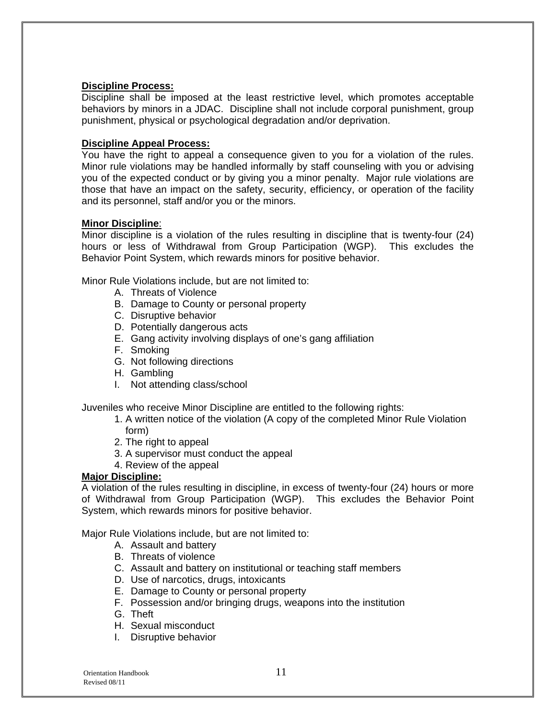#### **Discipline Process:**

Discipline shall be imposed at the least restrictive level, which promotes acceptable behaviors by minors in a JDAC. Discipline shall not include corporal punishment, group punishment, physical or psychological degradation and/or deprivation.

#### **Discipline Appeal Process:**

You have the right to appeal a consequence given to you for a violation of the rules. Minor rule violations may be handled informally by staff counseling with you or advising you of the expected conduct or by giving you a minor penalty. Major rule violations are those that have an impact on the safety, security, efficiency, or operation of the facility and its personnel, staff and/or you or the minors.

#### **Minor Discipline**:

Minor discipline is a violation of the rules resulting in discipline that is twenty-four (24) hours or less of Withdrawal from Group Participation (WGP). This excludes the Behavior Point System, which rewards minors for positive behavior.

Minor Rule Violations include, but are not limited to:

- A. Threats of Violence
- B. Damage to County or personal property
- C. Disruptive behavior
- D. Potentially dangerous acts
- E. Gang activity involving displays of one's gang affiliation
- F. Smoking
- G. Not following directions
- H. Gambling
- I. Not attending class/school

Juveniles who receive Minor Discipline are entitled to the following rights:

- 1. A written notice of the violation (A copy of the completed Minor Rule Violation form)
- 2. The right to appeal
- 3. A supervisor must conduct the appeal
- 4. Review of the appeal

#### **Major Discipline:**

A violation of the rules resulting in discipline, in excess of twenty-four (24) hours or more of Withdrawal from Group Participation (WGP). This excludes the Behavior Point System, which rewards minors for positive behavior.

Major Rule Violations include, but are not limited to:

- A. Assault and battery
- B. Threats of violence
- C. Assault and battery on institutional or teaching staff members
- D. Use of narcotics, drugs, intoxicants
- E. Damage to County or personal property
- F. Possession and/or bringing drugs, weapons into the institution
- G. Theft
- H. Sexual misconduct
- I. Disruptive behavior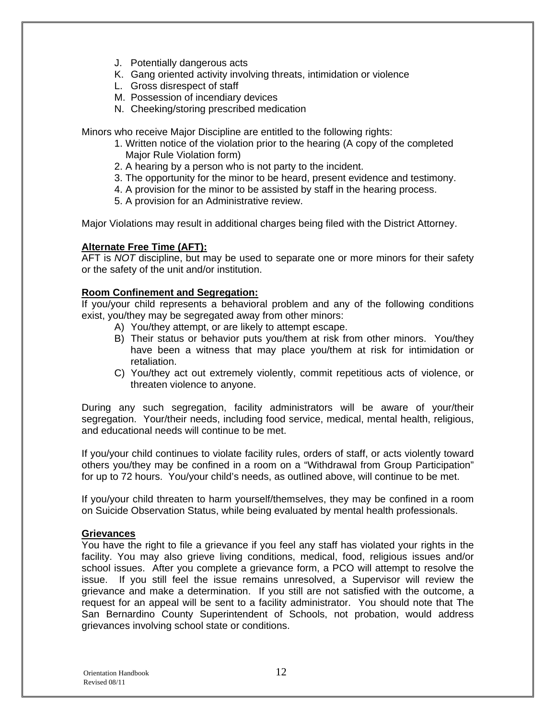- J. Potentially dangerous acts
- K. Gang oriented activity involving threats, intimidation or violence
- L. Gross disrespect of staff
- M. Possession of incendiary devices
- N. Cheeking/storing prescribed medication

Minors who receive Major Discipline are entitled to the following rights:

- 1. Written notice of the violation prior to the hearing (A copy of the completed Major Rule Violation form)
- 2. A hearing by a person who is not party to the incident.
- 3. The opportunity for the minor to be heard, present evidence and testimony.
- 4. A provision for the minor to be assisted by staff in the hearing process.
- 5. A provision for an Administrative review.

Major Violations may result in additional charges being filed with the District Attorney.

#### **Alternate Free Time (AFT):**

AFT is *NOT* discipline, but may be used to separate one or more minors for their safety or the safety of the unit and/or institution.

#### **Room Confinement and Segregation:**

If you/your child represents a behavioral problem and any of the following conditions exist, you/they may be segregated away from other minors:

- A) You/they attempt, or are likely to attempt escape.
- B) Their status or behavior puts you/them at risk from other minors. You/they have been a witness that may place you/them at risk for intimidation or retaliation.
- C) You/they act out extremely violently, commit repetitious acts of violence, or threaten violence to anyone.

During any such segregation, facility administrators will be aware of your/their segregation. Your/their needs, including food service, medical, mental health, religious, and educational needs will continue to be met.

If you/your child continues to violate facility rules, orders of staff, or acts violently toward others you/they may be confined in a room on a "Withdrawal from Group Participation" for up to 72 hours. You/your child's needs, as outlined above, will continue to be met.

If you/your child threaten to harm yourself/themselves, they may be confined in a room on Suicide Observation Status, while being evaluated by mental health professionals.

#### **Grievances**

You have the right to file a grievance if you feel any staff has violated your rights in the facility. You may also grieve living conditions, medical, food, religious issues and/or school issues. After you complete a grievance form, a PCO will attempt to resolve the issue. If you still feel the issue remains unresolved, a Supervisor will review the grievance and make a determination. If you still are not satisfied with the outcome, a request for an appeal will be sent to a facility administrator. You should note that The San Bernardino County Superintendent of Schools, not probation, would address grievances involving school state or conditions.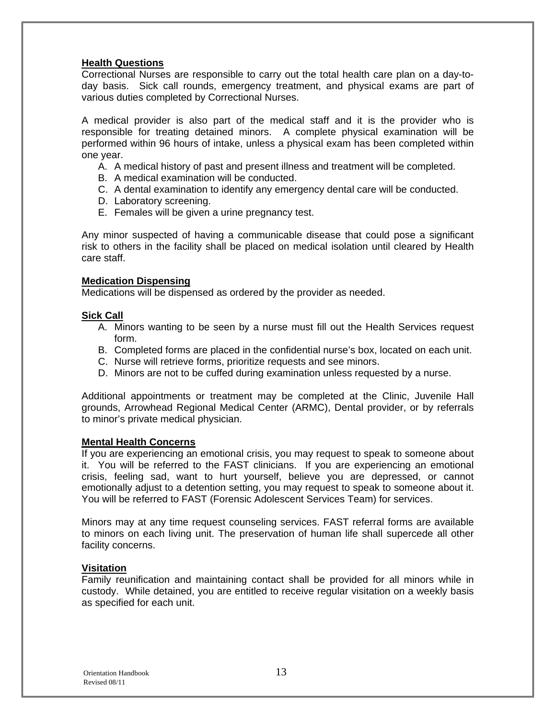#### **Health Questions**

Correctional Nurses are responsible to carry out the total health care plan on a day-today basis. Sick call rounds, emergency treatment, and physical exams are part of various duties completed by Correctional Nurses.

A medical provider is also part of the medical staff and it is the provider who is responsible for treating detained minors. A complete physical examination will be performed within 96 hours of intake, unless a physical exam has been completed within one year.

- A. A medical history of past and present illness and treatment will be completed.
- B. A medical examination will be conducted.
- C. A dental examination to identify any emergency dental care will be conducted.
- D. Laboratory screening.
- E. Females will be given a urine pregnancy test.

Any minor suspected of having a communicable disease that could pose a significant risk to others in the facility shall be placed on medical isolation until cleared by Health care staff.

#### **Medication Dispensing**

Medications will be dispensed as ordered by the provider as needed.

#### **Sick Call**

- A. Minors wanting to be seen by a nurse must fill out the Health Services request form.
- B. Completed forms are placed in the confidential nurse's box, located on each unit.
- C. Nurse will retrieve forms, prioritize requests and see minors.
- D. Minors are not to be cuffed during examination unless requested by a nurse.

Additional appointments or treatment may be completed at the Clinic, Juvenile Hall grounds, Arrowhead Regional Medical Center (ARMC), Dental provider, or by referrals to minor's private medical physician.

#### **Mental Health Concerns**

If you are experiencing an emotional crisis, you may request to speak to someone about it. You will be referred to the FAST clinicians. If you are experiencing an emotional crisis, feeling sad, want to hurt yourself, believe you are depressed, or cannot emotionally adjust to a detention setting, you may request to speak to someone about it. You will be referred to FAST (Forensic Adolescent Services Team) for services.

Minors may at any time request counseling services. FAST referral forms are available to minors on each living unit. The preservation of human life shall supercede all other facility concerns.

#### **Visitation**

Family reunification and maintaining contact shall be provided for all minors while in custody. While detained, you are entitled to receive regular visitation on a weekly basis as specified for each unit.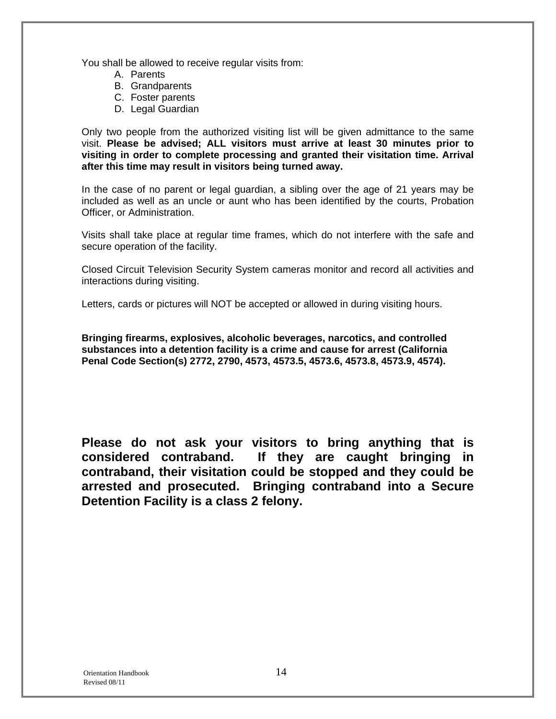You shall be allowed to receive regular visits from:

- A. Parents
- B. Grandparents
- C. Foster parents
- D. Legal Guardian

Only two people from the authorized visiting list will be given admittance to the same visit. **Please be advised; ALL visitors must arrive at least 30 minutes prior to visiting in order to complete processing and granted their visitation time. Arrival after this time may result in visitors being turned away.**

In the case of no parent or legal guardian, a sibling over the age of 21 years may be included as well as an uncle or aunt who has been identified by the courts, Probation Officer, or Administration.

Visits shall take place at regular time frames, which do not interfere with the safe and secure operation of the facility.

Closed Circuit Television Security System cameras monitor and record all activities and interactions during visiting.

Letters, cards or pictures will NOT be accepted or allowed in during visiting hours.

**Bringing firearms, explosives, alcoholic beverages, narcotics, and controlled substances into a detention facility is a crime and cause for arrest (California Penal Code Section(s) 2772, 2790, 4573, 4573.5, 4573.6, 4573.8, 4573.9, 4574).** 

**Please do not ask your visitors to bring anything that is considered contraband. If they are caught bringing in contraband, their visitation could be stopped and they could be arrested and prosecuted. Bringing contraband into a Secure Detention Facility is a class 2 felony.**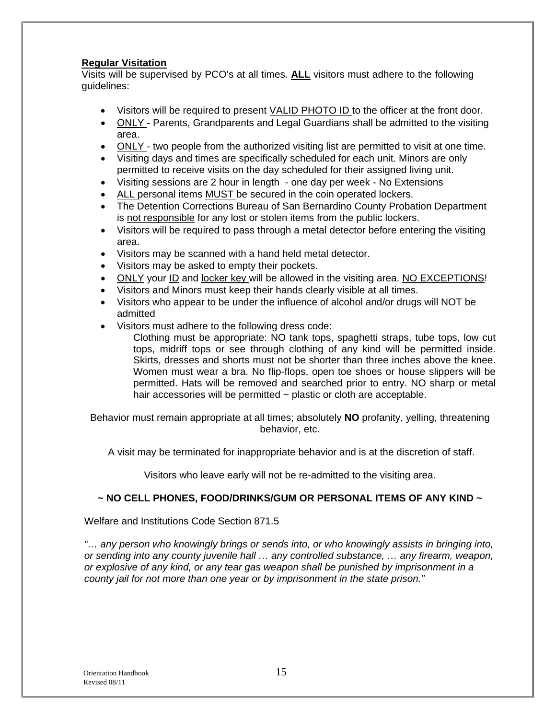#### **Regular Visitation**

Visits will be supervised by PCO's at all times. **ALL** visitors must adhere to the following guidelines:

- Visitors will be required to present VALID PHOTO ID to the officer at the front door.
- ONLY Parents, Grandparents and Legal Guardians shall be admitted to the visiting area.
- ONLY two people from the authorized visiting list are permitted to visit at one time.
- Visiting days and times are specifically scheduled for each unit. Minors are only permitted to receive visits on the day scheduled for their assigned living unit.
- Visiting sessions are 2 hour in length one day per week No Extensions
- ALL personal items MUST be secured in the coin operated lockers.
- The Detention Corrections Bureau of San Bernardino County Probation Department is not responsible for any lost or stolen items from the public lockers.
- Visitors will be required to pass through a metal detector before entering the visiting area.
- Visitors may be scanned with a hand held metal detector.
- Visitors may be asked to empty their pockets.
- ONLY your ID and locker key will be allowed in the visiting area. NO EXCEPTIONS!
- Visitors and Minors must keep their hands clearly visible at all times.
- Visitors who appear to be under the influence of alcohol and/or drugs will NOT be admitted
- Visitors must adhere to the following dress code:
	- Clothing must be appropriate: NO tank tops, spaghetti straps, tube tops, low cut tops, midriff tops or see through clothing of any kind will be permitted inside. Skirts, dresses and shorts must not be shorter than three inches above the knee. Women must wear a bra. No flip-flops, open toe shoes or house slippers will be permitted. Hats will be removed and searched prior to entry. NO sharp or metal hair accessories will be permitted  $\sim$  plastic or cloth are acceptable.

Behavior must remain appropriate at all times; absolutely **NO** profanity, yelling, threatening behavior, etc.

A visit may be terminated for inappropriate behavior and is at the discretion of staff.

Visitors who leave early will not be re-admitted to the visiting area.

#### **~ NO CELL PHONES, FOOD/DRINKS/GUM OR PERSONAL ITEMS OF ANY KIND ~**

Welfare and Institutions Code Section 871.5

*"… any person who knowingly brings or sends into, or who knowingly assists in bringing into, or sending into any county juvenile hall … any controlled substance, … any firearm, weapon, or explosive of any kind, or any tear gas weapon shall be punished by imprisonment in a county jail for not more than one year or by imprisonment in the state prison."*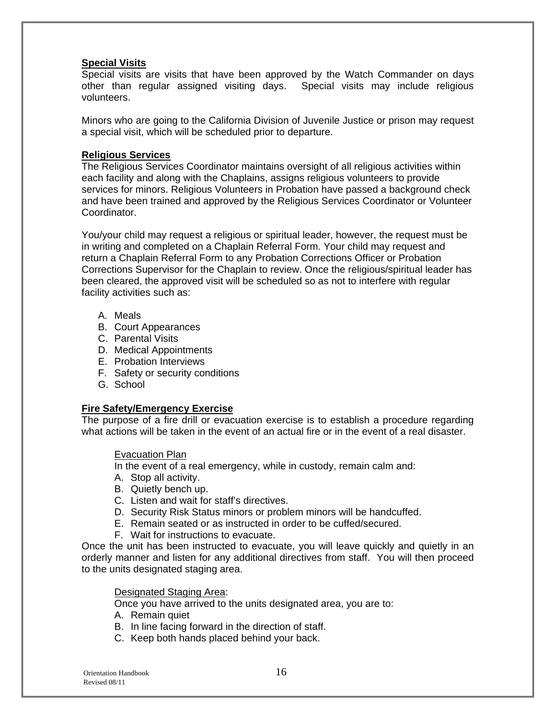#### **Special Visits**

Special visits are visits that have been approved by the Watch Commander on days other than regular assigned visiting days. Special visits may include religious volunteers.

Minors who are going to the California Division of Juvenile Justice or prison may request a special visit, which will be scheduled prior to departure.

#### **Religious Services**

The Religious Services Coordinator maintains oversight of all religious activities within each facility and along with the Chaplains, assigns religious volunteers to provide services for minors. Religious Volunteers in Probation have passed a background check and have been trained and approved by the Religious Services Coordinator or Volunteer Coordinator.

You/your child may request a religious or spiritual leader, however, the request must be in writing and completed on a Chaplain Referral Form. Your child may request and return a Chaplain Referral Form to any Probation Corrections Officer or Probation Corrections Supervisor for the Chaplain to review. Once the religious/spiritual leader has been cleared, the approved visit will be scheduled so as not to interfere with regular facility activities such as:

- A. Meals
- B. Court Appearances
- C. Parental Visits
- D. Medical Appointments
- E. Probation Interviews
- F. Safety or security conditions
- G. School

#### **Fire Safety/Emergency Exercise**

The purpose of a fire drill or evacuation exercise is to establish a procedure regarding what actions will be taken in the event of an actual fire or in the event of a real disaster.

#### Evacuation Plan

In the event of a real emergency, while in custody, remain calm and:

- A. Stop all activity.
- B. Quietly bench up.
- C. Listen and wait for staff's directives.
- D. Security Risk Status minors or problem minors will be handcuffed.
- E. Remain seated or as instructed in order to be cuffed/secured.
- F. Wait for instructions to evacuate.

Once the unit has been instructed to evacuate, you will leave quickly and quietly in an orderly manner and listen for any additional directives from staff. You will then proceed to the units designated staging area.

#### Designated Staging Area:

Once you have arrived to the units designated area, you are to:

- A. Remain quiet
- B. In line facing forward in the direction of staff.
- C. Keep both hands placed behind your back.

 Orientation Handbook 16 Revised 08/11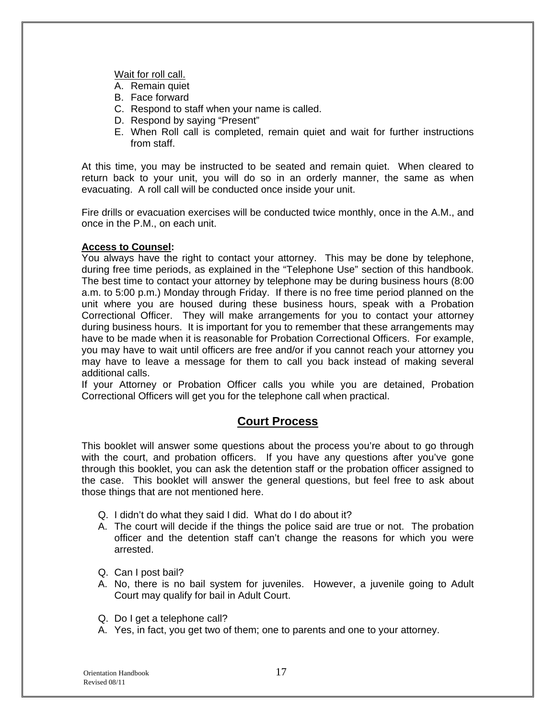Wait for roll call.

- A. Remain quiet
- B. Face forward
- C. Respond to staff when your name is called.
- D. Respond by saying "Present"
- E. When Roll call is completed, remain quiet and wait for further instructions from staff.

At this time, you may be instructed to be seated and remain quiet. When cleared to return back to your unit, you will do so in an orderly manner, the same as when evacuating. A roll call will be conducted once inside your unit.

Fire drills or evacuation exercises will be conducted twice monthly, once in the A.M., and once in the P.M., on each unit.

#### **Access to Counsel:**

You always have the right to contact your attorney. This may be done by telephone, during free time periods, as explained in the "Telephone Use" section of this handbook. The best time to contact your attorney by telephone may be during business hours (8:00 a.m. to 5:00 p.m.) Monday through Friday. If there is no free time period planned on the unit where you are housed during these business hours, speak with a Probation Correctional Officer. They will make arrangements for you to contact your attorney during business hours. It is important for you to remember that these arrangements may have to be made when it is reasonable for Probation Correctional Officers. For example, you may have to wait until officers are free and/or if you cannot reach your attorney you may have to leave a message for them to call you back instead of making several additional calls.

If your Attorney or Probation Officer calls you while you are detained, Probation Correctional Officers will get you for the telephone call when practical.

#### **Court Process**

This booklet will answer some questions about the process you're about to go through with the court, and probation officers. If you have any questions after you've gone through this booklet, you can ask the detention staff or the probation officer assigned to the case. This booklet will answer the general questions, but feel free to ask about those things that are not mentioned here.

- Q. I didn't do what they said I did. What do I do about it?
- A. The court will decide if the things the police said are true or not. The probation officer and the detention staff can't change the reasons for which you were arrested.
- Q. Can I post bail?
- A. No, there is no bail system for juveniles. However, a juvenile going to Adult Court may qualify for bail in Adult Court.
- Q. Do I get a telephone call?
- A. Yes, in fact, you get two of them; one to parents and one to your attorney.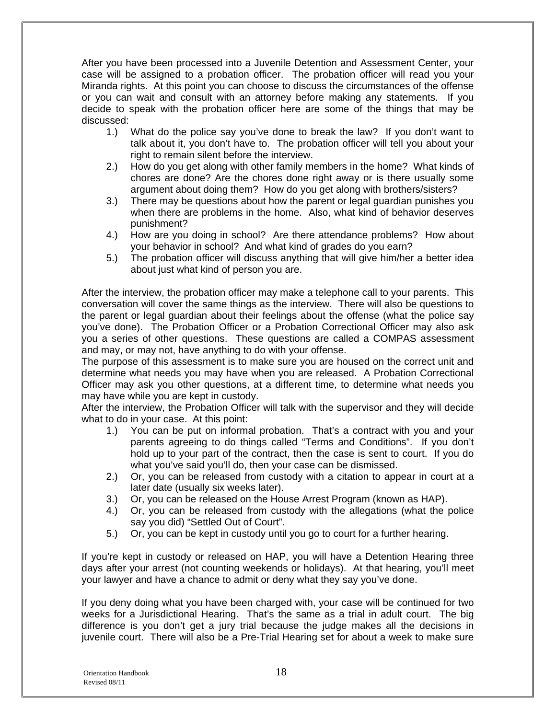After you have been processed into a Juvenile Detention and Assessment Center, your case will be assigned to a probation officer. The probation officer will read you your Miranda rights. At this point you can choose to discuss the circumstances of the offense or you can wait and consult with an attorney before making any statements. If you decide to speak with the probation officer here are some of the things that may be discussed:

- 1.) What do the police say you've done to break the law? If you don't want to talk about it, you don't have to. The probation officer will tell you about your right to remain silent before the interview.
- 2.) How do you get along with other family members in the home? What kinds of chores are done? Are the chores done right away or is there usually some argument about doing them? How do you get along with brothers/sisters?
- 3.) There may be questions about how the parent or legal guardian punishes you when there are problems in the home. Also, what kind of behavior deserves punishment?
- 4.) How are you doing in school? Are there attendance problems? How about your behavior in school? And what kind of grades do you earn?
- 5.) The probation officer will discuss anything that will give him/her a better idea about just what kind of person you are.

After the interview, the probation officer may make a telephone call to your parents. This conversation will cover the same things as the interview. There will also be questions to the parent or legal guardian about their feelings about the offense (what the police say you've done). The Probation Officer or a Probation Correctional Officer may also ask you a series of other questions. These questions are called a COMPAS assessment and may, or may not, have anything to do with your offense.

The purpose of this assessment is to make sure you are housed on the correct unit and determine what needs you may have when you are released. A Probation Correctional Officer may ask you other questions, at a different time, to determine what needs you may have while you are kept in custody.

After the interview, the Probation Officer will talk with the supervisor and they will decide what to do in your case. At this point:

- 1.) You can be put on informal probation. That's a contract with you and your parents agreeing to do things called "Terms and Conditions". If you don't hold up to your part of the contract, then the case is sent to court. If you do what you've said you'll do, then your case can be dismissed.
- 2.) Or, you can be released from custody with a citation to appear in court at a later date (usually six weeks later).
- 3.) Or, you can be released on the House Arrest Program (known as HAP).
- 4.) Or, you can be released from custody with the allegations (what the police say you did) "Settled Out of Court".
- 5.) Or, you can be kept in custody until you go to court for a further hearing.

If you're kept in custody or released on HAP, you will have a Detention Hearing three days after your arrest (not counting weekends or holidays). At that hearing, you'll meet your lawyer and have a chance to admit or deny what they say you've done.

If you deny doing what you have been charged with, your case will be continued for two weeks for a Jurisdictional Hearing. That's the same as a trial in adult court. The big difference is you don't get a jury trial because the judge makes all the decisions in juvenile court. There will also be a Pre-Trial Hearing set for about a week to make sure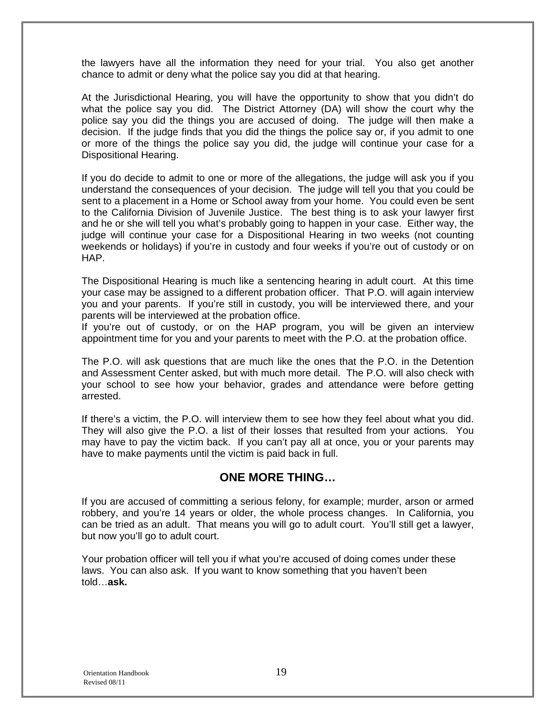the lawyers have all the information they need for your trial. You also get another chance to admit or deny what the police say you did at that hearing.

At the Jurisdictional Hearing, you will have the opportunity to show that you didn't do what the police say you did. The District Attorney (DA) will show the court why the police say you did the things you are accused of doing. The judge will then make a decision. If the judge finds that you did the things the police say or, if you admit to one or more of the things the police say you did, the judge will continue your case for a Dispositional Hearing.

If you do decide to admit to one or more of the allegations, the judge will ask you if you understand the consequences of your decision. The judge will tell you that you could be sent to a placement in a Home or School away from your home. You could even be sent to the California Division of Juvenile Justice. The best thing is to ask your lawyer first and he or she will tell you what's probably going to happen in your case. Either way, the judge will continue your case for a Dispositional Hearing in two weeks (not counting weekends or holidays) if you're in custody and four weeks if you're out of custody or on HAP.

The Dispositional Hearing is much like a sentencing hearing in adult court. At this time your case may be assigned to a different probation officer. That P.O. will again interview you and your parents. If you're still in custody, you will be interviewed there, and your parents will be interviewed at the probation office.

If you're out of custody, or on the HAP program, you will be given an interview appointment time for you and your parents to meet with the P.O. at the probation office.

The P.O. will ask questions that are much like the ones that the P.O. in the Detention and Assessment Center asked, but with much more detail. The P.O. will also check with your school to see how your behavior, grades and attendance were before getting arrested.

If there's a victim, the P.O. will interview them to see how they feel about what you did. They will also give the P.O. a list of their losses that resulted from your actions. You may have to pay the victim back. If you can't pay all at once, you or your parents may have to make payments until the victim is paid back in full.

#### **ONE MORE THING…**

If you are accused of committing a serious felony, for example; murder, arson or armed robbery, and you're 14 years or older, the whole process changes. In California, you can be tried as an adult. That means you will go to adult court. You'll still get a lawyer, but now you'll go to adult court.

Your probation officer will tell you if what you're accused of doing comes under these laws. You can also ask. If you want to know something that you haven't been told…**ask.**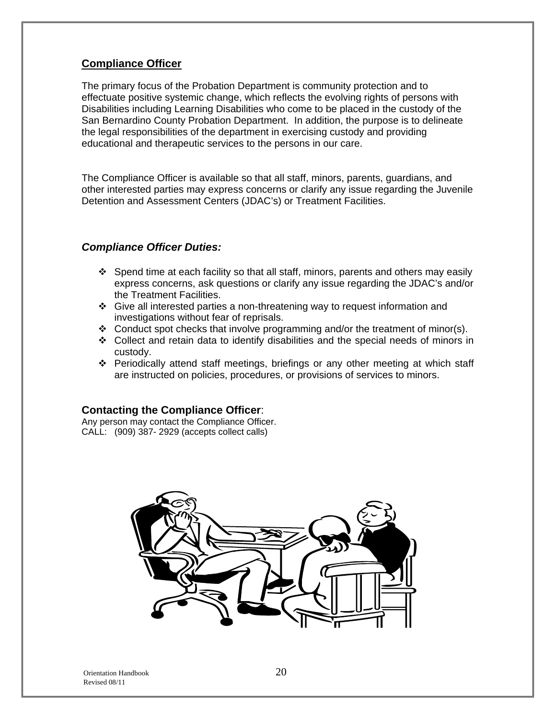#### **Compliance Officer**

The primary focus of the Probation Department is community protection and to effectuate positive systemic change, which reflects the evolving rights of persons with Disabilities including Learning Disabilities who come to be placed in the custody of the San Bernardino County Probation Department. In addition, the purpose is to delineate the legal responsibilities of the department in exercising custody and providing educational and therapeutic services to the persons in our care.

The Compliance Officer is available so that all staff, minors, parents, guardians, and other interested parties may express concerns or clarify any issue regarding the Juvenile Detention and Assessment Centers (JDAC's) or Treatment Facilities.

#### *Compliance Officer Duties:*

- $\div$  Spend time at each facility so that all staff, minors, parents and others may easily express concerns, ask questions or clarify any issue regarding the JDAC's and/or the Treatment Facilities.
- Give all interested parties a non-threatening way to request information and investigations without fear of reprisals.
- $\div$  Conduct spot checks that involve programming and/or the treatment of minor(s).
- Collect and retain data to identify disabilities and the special needs of minors in custody.
- Periodically attend staff meetings, briefings or any other meeting at which staff are instructed on policies, procedures, or provisions of services to minors.

#### **Contacting the Compliance Officer**:

Any person may contact the Compliance Officer. CALL: (909) 387- 2929 (accepts collect calls)

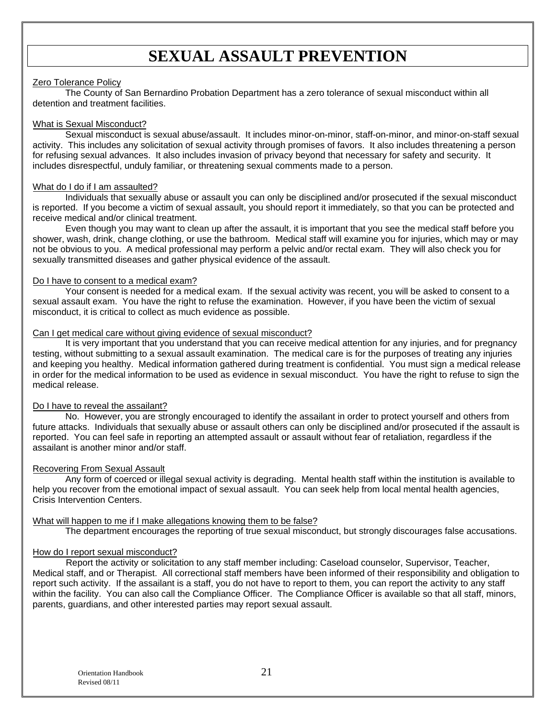## **SEXUAL ASSAULT PREVENTION**

#### Zero Tolerance Policy

The County of San Bernardino Probation Department has a zero tolerance of sexual misconduct within all detention and treatment facilities.

#### What is Sexual Misconduct?

Sexual misconduct is sexual abuse/assault. It includes minor-on-minor, staff-on-minor, and minor-on-staff sexual activity. This includes any solicitation of sexual activity through promises of favors. It also includes threatening a person for refusing sexual advances. It also includes invasion of privacy beyond that necessary for safety and security. It includes disrespectful, unduly familiar, or threatening sexual comments made to a person.

#### What do I do if I am assaulted?

Individuals that sexually abuse or assault you can only be disciplined and/or prosecuted if the sexual misconduct is reported. If you become a victim of sexual assault, you should report it immediately, so that you can be protected and receive medical and/or clinical treatment.

Even though you may want to clean up after the assault, it is important that you see the medical staff before you shower, wash, drink, change clothing, or use the bathroom. Medical staff will examine you for injuries, which may or may not be obvious to you. A medical professional may perform a pelvic and/or rectal exam. They will also check you for sexually transmitted diseases and gather physical evidence of the assault.

#### Do I have to consent to a medical exam?

Your consent is needed for a medical exam. If the sexual activity was recent, you will be asked to consent to a sexual assault exam. You have the right to refuse the examination. However, if you have been the victim of sexual misconduct, it is critical to collect as much evidence as possible.

#### Can I get medical care without giving evidence of sexual misconduct?

It is very important that you understand that you can receive medical attention for any injuries, and for pregnancy testing, without submitting to a sexual assault examination. The medical care is for the purposes of treating any injuries and keeping you healthy. Medical information gathered during treatment is confidential. You must sign a medical release in order for the medical information to be used as evidence in sexual misconduct. You have the right to refuse to sign the medical release.

#### Do I have to reveal the assailant?

No. However, you are strongly encouraged to identify the assailant in order to protect yourself and others from future attacks. Individuals that sexually abuse or assault others can only be disciplined and/or prosecuted if the assault is reported. You can feel safe in reporting an attempted assault or assault without fear of retaliation, regardless if the assailant is another minor and/or staff.

#### Recovering From Sexual Assault

Any form of coerced or illegal sexual activity is degrading. Mental health staff within the institution is available to help you recover from the emotional impact of sexual assault. You can seek help from local mental health agencies, Crisis Intervention Centers.

#### What will happen to me if I make allegations knowing them to be false?

The department encourages the reporting of true sexual misconduct, but strongly discourages false accusations.

#### How do I report sexual misconduct?

 Report the activity or solicitation to any staff member including: Caseload counselor, Supervisor, Teacher, Medical staff, and or Therapist. All correctional staff members have been informed of their responsibility and obligation to report such activity. If the assailant is a staff, you do not have to report to them, you can report the activity to any staff within the facility. You can also call the Compliance Officer. The Compliance Officer is available so that all staff, minors, parents, guardians, and other interested parties may report sexual assault.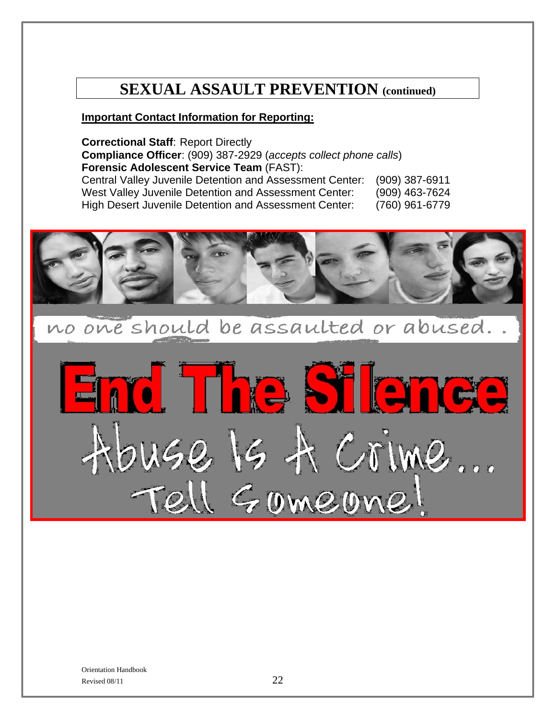# **SEXUAL ASSAULT PREVENTION (continued)**

#### **Important Contact Information for Reporting:**

**Correctional Staff**: Report Directly **Compliance Officer**: (909) 387-2929 (*accepts collect phone calls*) **Forensic Adolescent Service Team** (FAST):

Central Valley Juvenile Detention and Assessment Center: (909) 387-6911 West Valley Juvenile Detention and Assessment Center: (909) 463-7624 High Desert Juvenile Detention and Assessment Center: (760) 961-6779



no one should be assaulted or abused..

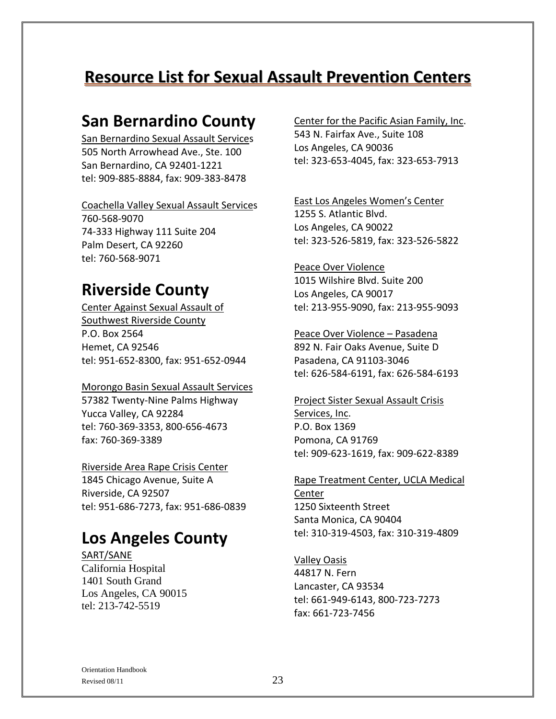# **Resource List for Sexual Assault Prevention Centers**

## **San Bernardino County**

San Bernardino Sexual Assault Services 505 North Arrowhead Ave., Ste. 100 San Bernardino, CA 92401‐1221 tel: 909‐885‐8884, fax: 909‐383‐8478

#### Coachella Valley Sexual Assault Services

760‐568‐9070 74‐333 Highway 111 Suite 204 Palm Desert, CA 92260 tel: 760‐568‐9071

## **Riverside County**

Center Against Sexual Assault of Southwest Riverside County P.O. Box 2564 Hemet, CA 92546 tel: 951‐652‐8300, fax: 951‐652‐0944

#### Morongo Basin Sexual Assault Services

57382 Twenty‐Nine Palms Highway Yucca Valley, CA 92284 tel: 760‐369‐3353, 800‐656‐4673 fax: 760‐369‐3389

Riverside Area Rape Crisis Center 1845 Chicago Avenue, Suite A Riverside, CA 92507 tel: 951‐686‐7273, fax: 951‐686‐0839

## **Los Angeles County**

SART/SANE California Hospital 1401 South Grand Los Angeles, CA 90015 tel: 213-742-5519

#### Center for the Pacific Asian Family, Inc. 543 N. Fairfax Ave., Suite 108 Los Angeles, CA 90036 tel: 323‐653‐4045, fax: 323‐653‐7913

East Los Angeles Women's Center 1255 S. Atlantic Blvd. Los Angeles, CA 90022 tel: 323‐526‐5819, fax: 323‐526‐5822

Peace Over Violence 1015 Wilshire Blvd. Suite 200 Los Angeles, CA 90017 tel: 213‐955‐9090, fax: 213‐955‐9093

Peace Over Violence – Pasadena 892 N. Fair Oaks Avenue, Suite D Pasadena, CA 91103‐3046 tel: 626‐584‐6191, fax: 626‐584‐6193

Project Sister Sexual Assault Crisis Services, Inc. P.O. Box 1369 Pomona, CA 91769 tel: 909‐623‐1619, fax: 909‐622‐8389

Rape Treatment Center, UCLA Medical Center 1250 Sixteenth Street Santa Monica, CA 90404 tel: 310‐319‐4503, fax: 310‐319‐4809

Valley Oasis 44817 N. Fern Lancaster, CA 93534 tel: 661‐949‐6143, 800‐723‐7273 fax: 661‐723‐7456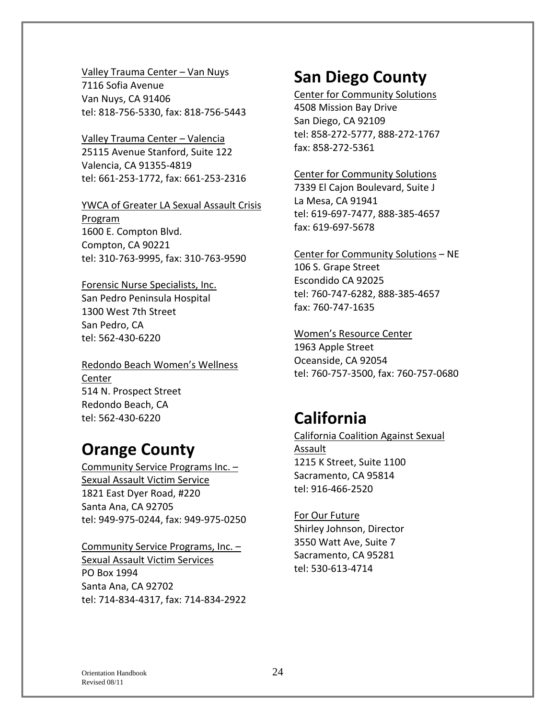#### Valley Trauma Center – Van Nuys

7116 Sofia Avenue Van Nuys, CA 91406 tel: 818‐756‐5330, fax: 818‐756‐5443

Valley Trauma Center – Valencia 25115 Avenue Stanford, Suite 122 Valencia, CA 91355‐4819 tel: 661‐253‐1772, fax: 661‐253‐2316

#### YWCA of Greater LA Sexual Assault Crisis

Program 1600 E. Compton Blvd. Compton, CA 90221 tel: 310‐763‐9995, fax: 310‐763‐9590

## Forensic Nurse Specialists, Inc.

San Pedro Peninsula Hospital 1300 West 7th Street San Pedro, CA tel: 562‐430‐6220

Redondo Beach Women's Wellness Center 514 N. Prospect Street Redondo Beach, CA tel: 562‐430‐6220

# **Orange County**

Community Service Programs Inc. – Sexual Assault Victim Service 1821 East Dyer Road, #220 Santa Ana, CA 92705 tel: 949‐975‐0244, fax: 949‐975‐0250

#### Community Service Programs, Inc. – Sexual Assault Victim Services PO Box 1994 Santa Ana, CA 92702 tel: 714‐834‐4317, fax: 714‐834‐2922

# **San Diego County**

Center for Community Solutions 4508 Mission Bay Drive San Diego, CA 92109 tel: 858‐272‐5777, 888‐272‐1767 fax: 858‐272‐5361

#### Center for Community Solutions

7339 El Cajon Boulevard, Suite J La Mesa, CA 91941 tel: 619‐697‐7477, 888‐385‐4657 fax: 619‐697‐5678

#### Center for Community Solutions – NE

106 S. Grape Street Escondido CA 92025 tel: 760‐747‐6282, 888‐385‐4657 fax: 760‐747‐1635

#### Women's Resource Center

1963 Apple Street Oceanside, CA 92054 tel: 760‐757‐3500, fax: 760‐757‐0680

## **California**

### California Coalition Against Sexual Assault 1215 K Street, Suite 1100 Sacramento, CA 95814 tel: 916‐466‐2520

#### For Our Future Shirley Johnson, Director 3550 Watt Ave, Suite 7 Sacramento, CA 95281 tel: 530‐613‐4714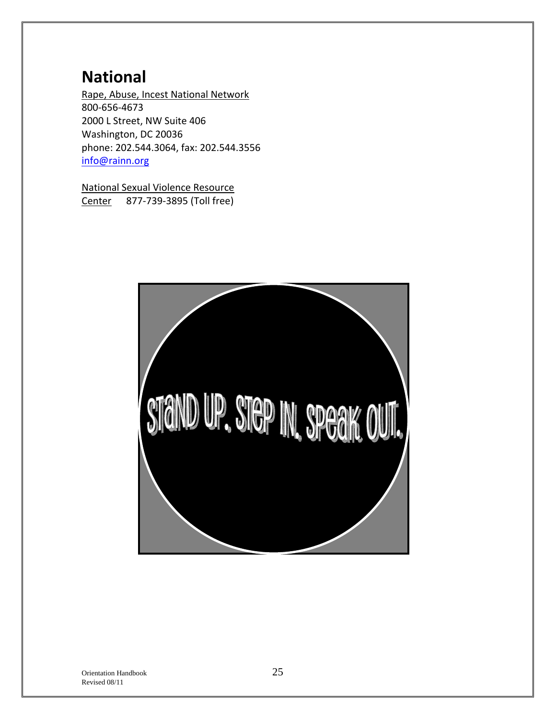# **National**

Rape, Abuse, Incest National Network 800‐656‐4673 2000 L Street, NW Suite 406 Washington, DC 20036 phone: 202.544.3064, fax: 202.544.3556 info@rainn.org

National Sexual Violence Resource Center 877‐739‐3895 (Toll free)

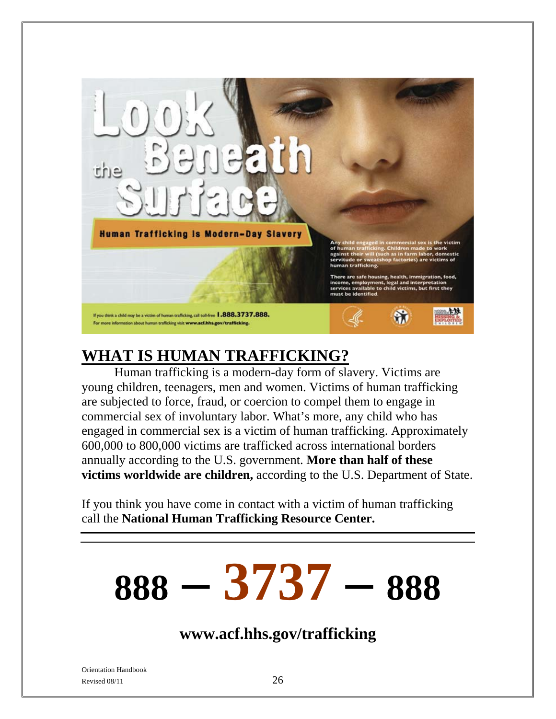

# **WHAT IS HUMAN TRAFFICKING?**

Human trafficking is a modern-day form of slavery. Victims are young children, teenagers, men and women. Victims of human trafficking are subjected to force, fraud, or coercion to compel them to engage in commercial sex of involuntary labor. What's more, any child who has engaged in commercial sex is a victim of human trafficking. Approximately 600,000 to 800,000 victims are trafficked across international borders annually according to the U.S. government. **More than half of these victims worldwide are children,** according to the U.S. Department of State.

If you think you have come in contact with a victim of human trafficking call the **National Human Trafficking Resource Center.** 

# **888 – 3737 – 888**

**www.acf.hhs.gov/trafficking**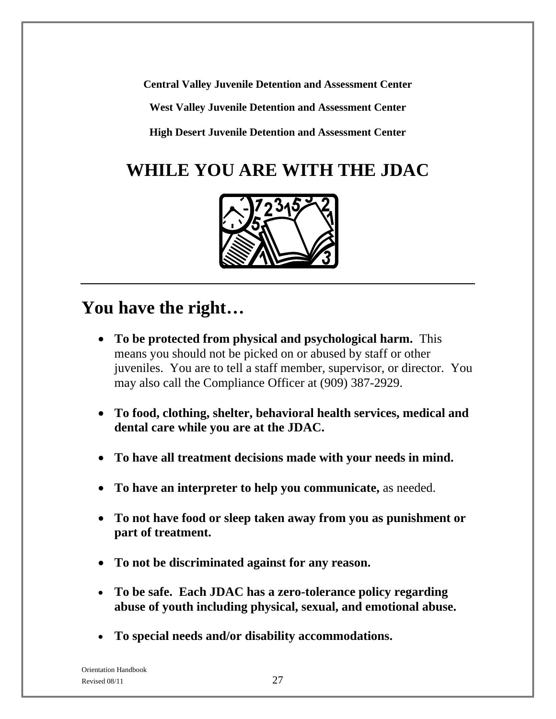**Central Valley Juvenile Detention and Assessment Center** 

**West Valley Juvenile Detention and Assessment Center** 

**High Desert Juvenile Detention and Assessment Center** 

# **WHILE YOU ARE WITH THE JDAC**



# **You have the right…**

- **To be protected from physical and psychological harm.** This means you should not be picked on or abused by staff or other juveniles. You are to tell a staff member, supervisor, or director. You may also call the Compliance Officer at (909) 387-2929.
- **To food, clothing, shelter, behavioral health services, medical and dental care while you are at the JDAC.**
- **To have all treatment decisions made with your needs in mind.**
- **To have an interpreter to help you communicate,** as needed.
- **To not have food or sleep taken away from you as punishment or part of treatment.**
- **To not be discriminated against for any reason.**
- **To be safe. Each JDAC has a zero-tolerance policy regarding abuse of youth including physical, sexual, and emotional abuse.**
- **To special needs and/or disability accommodations.**

Orientation Handbook Revised  $08/11$  27